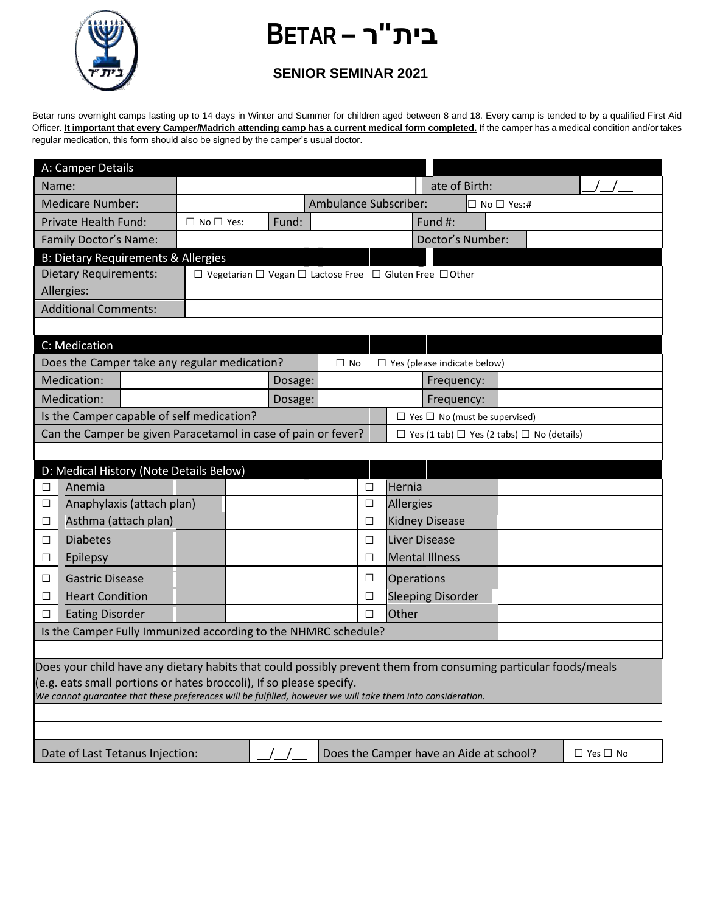

## **בית"ר – BETAR**

## **SENIOR SEMINAR 2021**

Betar runs overnight camps lasting up to 14 days in Winter and Summer for children aged between 8 and 18. Every camp is tended to by a qualified First Aid Officer. It important that every Camper/Madrich attending camp has a current medical form completed. If the camper has a medical condition and/or takes regular medication, this form should also be signed by the camper's usual doctor.

| ate of Birth:<br>Name:<br>Ambulance Subscriber:<br><b>Medicare Number:</b><br>$\Box$ No $\Box$ Yes:#<br>Fund:<br>Fund #:<br><b>Private Health Fund:</b><br>$\Box$ No $\Box$ Yes:<br>Doctor's Number:<br>Family Doctor's Name:<br><b>B: Dietary Requirements &amp; Allergies</b> |  |  |  |  |  |  |  |  |  |  |
|---------------------------------------------------------------------------------------------------------------------------------------------------------------------------------------------------------------------------------------------------------------------------------|--|--|--|--|--|--|--|--|--|--|
|                                                                                                                                                                                                                                                                                 |  |  |  |  |  |  |  |  |  |  |
|                                                                                                                                                                                                                                                                                 |  |  |  |  |  |  |  |  |  |  |
|                                                                                                                                                                                                                                                                                 |  |  |  |  |  |  |  |  |  |  |
|                                                                                                                                                                                                                                                                                 |  |  |  |  |  |  |  |  |  |  |
|                                                                                                                                                                                                                                                                                 |  |  |  |  |  |  |  |  |  |  |
| <b>Dietary Requirements:</b><br>$\Box$ Vegetarian $\Box$ Vegan $\Box$ Lactose Free $\Box$ Gluten Free $\Box$ Other                                                                                                                                                              |  |  |  |  |  |  |  |  |  |  |
| Allergies:                                                                                                                                                                                                                                                                      |  |  |  |  |  |  |  |  |  |  |
| <b>Additional Comments:</b>                                                                                                                                                                                                                                                     |  |  |  |  |  |  |  |  |  |  |
|                                                                                                                                                                                                                                                                                 |  |  |  |  |  |  |  |  |  |  |
| C: Medication                                                                                                                                                                                                                                                                   |  |  |  |  |  |  |  |  |  |  |
| Does the Camper take any regular medication?<br>$\Box$ Yes (please indicate below)<br>$\Box$ No                                                                                                                                                                                 |  |  |  |  |  |  |  |  |  |  |
| Medication:<br>Dosage:<br>Frequency:                                                                                                                                                                                                                                            |  |  |  |  |  |  |  |  |  |  |
| Medication:<br>Dosage:<br>Frequency:                                                                                                                                                                                                                                            |  |  |  |  |  |  |  |  |  |  |
| Is the Camper capable of self medication?<br>$\Box$ Yes $\Box$ No (must be supervised)                                                                                                                                                                                          |  |  |  |  |  |  |  |  |  |  |
| Can the Camper be given Paracetamol in case of pain or fever?<br>$\Box$ Yes (1 tab) $\Box$ Yes (2 tabs) $\Box$ No (details)                                                                                                                                                     |  |  |  |  |  |  |  |  |  |  |
|                                                                                                                                                                                                                                                                                 |  |  |  |  |  |  |  |  |  |  |
| D: Medical History (Note Details Below)                                                                                                                                                                                                                                         |  |  |  |  |  |  |  |  |  |  |
| Hernia<br>Anemia<br>□<br>П                                                                                                                                                                                                                                                      |  |  |  |  |  |  |  |  |  |  |
| Anaphylaxis (attach plan)<br>Allergies<br>$\Box$<br>$\Box$                                                                                                                                                                                                                      |  |  |  |  |  |  |  |  |  |  |
| Asthma (attach plan)<br><b>Kidney Disease</b><br>$\Box$<br>$\Box$                                                                                                                                                                                                               |  |  |  |  |  |  |  |  |  |  |
| Liver Disease<br><b>Diabetes</b><br>$\Box$<br>$\Box$                                                                                                                                                                                                                            |  |  |  |  |  |  |  |  |  |  |
| <b>Mental Illness</b><br>$\Box$<br>Epilepsy<br>$\Box$                                                                                                                                                                                                                           |  |  |  |  |  |  |  |  |  |  |
| <b>Gastric Disease</b><br>□<br><b>Operations</b><br>⊔                                                                                                                                                                                                                           |  |  |  |  |  |  |  |  |  |  |
| <b>Sleeping Disorder</b><br><b>Heart Condition</b><br>□<br>□                                                                                                                                                                                                                    |  |  |  |  |  |  |  |  |  |  |
| Other<br><b>Eating Disorder</b><br>$\Box$<br>□                                                                                                                                                                                                                                  |  |  |  |  |  |  |  |  |  |  |
| Is the Camper Fully Immunized according to the NHMRC schedule?                                                                                                                                                                                                                  |  |  |  |  |  |  |  |  |  |  |
|                                                                                                                                                                                                                                                                                 |  |  |  |  |  |  |  |  |  |  |
| Does your child have any dietary habits that could possibly prevent them from consuming particular foods/meals                                                                                                                                                                  |  |  |  |  |  |  |  |  |  |  |
| (e.g. eats small portions or hates broccoli), If so please specify.                                                                                                                                                                                                             |  |  |  |  |  |  |  |  |  |  |
| We cannot guarantee that these preferences will be fulfilled, however we will take them into consideration.                                                                                                                                                                     |  |  |  |  |  |  |  |  |  |  |
|                                                                                                                                                                                                                                                                                 |  |  |  |  |  |  |  |  |  |  |
|                                                                                                                                                                                                                                                                                 |  |  |  |  |  |  |  |  |  |  |
| Does the Camper have an Aide at school?<br>Date of Last Tetanus Injection:<br>$\Box$ Yes $\Box$ No                                                                                                                                                                              |  |  |  |  |  |  |  |  |  |  |